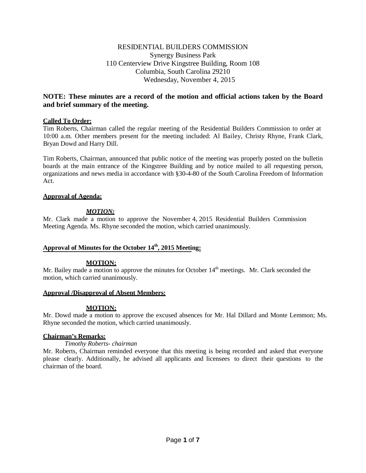# RESIDENTIAL BUILDERS COMMISSION Synergy Business Park 110 Centerview Drive Kingstree Building, Room 108 Columbia, South Carolina 29210 Wednesday, November 4, 2015

# **NOTE: These minutes are a record of the motion and official actions taken by the Board and brief summary of the meeting.**

## **Called To Order:**

Tim Roberts, Chairman called the regular meeting of the Residential Builders Commission to order at 10:00 a.m. Other members present for the meeting included: Al Bailey, Christy Rhyne, Frank Clark, Bryan Dowd and Harry Dill.

Tim Roberts, Chairman, announced that public notice of the meeting was properly posted on the bulletin boards at the main entrance of the Kingstree Building and by notice mailed to all requesting person, organizations and news media in accordance with §30-4-80 of the South Carolina Freedom of Information Act.

## **Approval of Agenda:**

## *MOTION:*

Mr. Clark made a motion to approve the November 4, 2015 Residential Builders Commission Meeting Agenda. Ms. Rhyne seconded the motion, which carried unanimously.

# **Approval of Minutes for the October 14th, 2015 Meeting:**

## **MOTION:**

Mr. Bailey made a motion to approve the minutes for October  $14<sup>th</sup>$  meetings. Mr. Clark seconded the motion, which carried unanimously.

## **Approval /Disapproval of Absent Members:**

## **MOTION:**

Mr. Dowd made a motion to approve the excused absences for Mr. Hal Dillard and Monte Lemmon; Ms. Rhyne seconded the motion, which carried unanimously.

## **Chairman's Remarks:**

*Timothy Roberts- chairman*

Mr. Roberts, Chairman reminded everyone that this meeting is being recorded and asked that everyone please clearly. Additionally, he advised all applicants and licensees to direct their questions to the chairman of the board.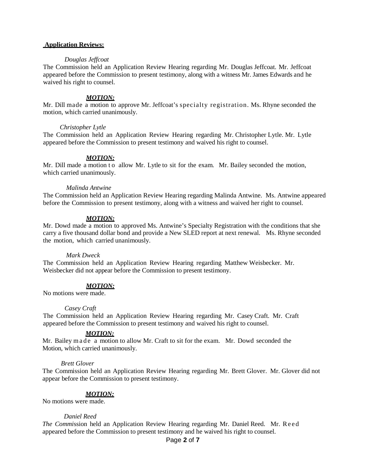#### **Application Reviews:**

#### *Douglas Jeffcoat*

The Commission held an Application Review Hearing regarding Mr. Douglas Jeffcoat. Mr. Jeffcoat appeared before the Commission to present testimony, along with a witness Mr. James Edwards and he waived his right to counsel.

#### *MOTION:*

Mr. Dill made a motion to approve Mr. Jeffcoat's specialty registration. Ms. Rhyne seconded the motion, which carried unanimously.

## *Christopher Lytle*

The Commission held an Application Review Hearing regarding Mr. Christopher Lytle. Mr. Lytle appeared before the Commission to present testimony and waived his right to counsel.

## *MOTION:*

Mr. Dill made a motion to allow Mr. Lytle to sit for the exam. Mr. Bailey seconded the motion, which carried unanimously.

#### *Malinda Antwine*

The Commission held an Application Review Hearing regarding Malinda Antwine. Ms. Antwine appeared before the Commission to present testimony, along with a witness and waived her right to counsel.

## *MOTION:*

Mr. Dowd made a motion to approved Ms. Antwine's Specialty Registration with the conditions that she carry a five thousand dollar bond and provide a New SLED report at next renewal. Ms. Rhyne seconded the motion, which carried unanimously.

#### *Mark Dweck*

The Commission held an Application Review Hearing regarding Matthew Weisbecker. Mr. Weisbecker did not appear before the Commission to present testimony.

#### *MOTION:*

No motions were made.

#### *Casey Craft*

The Commission held an Application Review Hearing regarding Mr. Casey Craft. Mr. Craft appeared before the Commission to present testimony and waived his right to counsel.

#### *MOTION:*

Mr. Bailey made a motion to allow Mr. Craft to sit for the exam. Mr. Dowd seconded the Motion, which carried unanimously.

#### *Brett Glover*

The Commission held an Application Review Hearing regarding Mr. Brett Glover. Mr. Glover did not appear before the Commission to present testimony.

#### *MOTION:*

No motions were made.

#### *Daniel Reed*

*The Commi*ssion held an Application Review Hearing regarding Mr. Daniel Reed. Mr. Reed appeared before the Commission to present testimony and he waived his right to counsel.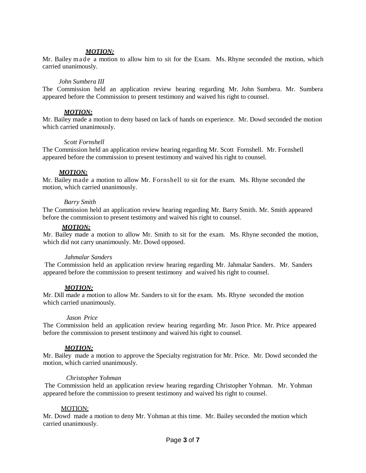## *MOTION:*

Mr. Bailey made a motion to allow him to sit for the Exam. Ms. Rhyne seconded the motion, which carried unanimously.

#### *John Sumbera III*

The Commission held an application review hearing regarding Mr. John Sumbera. Mr. Sumbera appeared before the Commission to present testimony and waived his right to counsel.

#### *MOTION:*

Mr. Bailey made a motion to deny based on lack of hands on experience. Mr. Dowd seconded the motion which carried unanimously.

#### *Scott Fornshell*

The Commission held an application review hearing regarding Mr. Scott Fornshell. Mr. Fornshell appeared before the commission to present testimony and waived his right to counsel.

## *MOTION:*

Mr. Bailey made a motion to allow Mr. Fornshell to sit for the exam. Ms. Rhyne seconded the motion, which carried unanimously.

## *Barry Smith*

The Commission held an application review hearing regarding Mr. Barry Smith. Mr. Smith appeared before the commission to present testimony and waived his right to counsel.

## *MOTION:*

Mr. Bailey made a motion to allow Mr. Smith to sit for the exam. Ms. Rhyne seconded the motion, which did not carry unanimously. Mr. Dowd opposed.

#### *Jahmalar Sanders*

The Commission held an application review hearing regarding Mr. Jahmalar Sanders. Mr. Sanders appeared before the commission to present testimony and waived his right to counsel.

## *MOTION:*

Mr. Dill made a motion to allow Mr. Sanders to sit for the exam. Ms. Rhyne seconded the motion which carried unanimously.

#### *Jason Price*

The Commission held an application review hearing regarding Mr. Jason Price. Mr. Price appeared before the commission to present testimony and waived his right to counsel.

## *MOTION:*

Mr. Bailey made a motion to approve the Specialty registration for Mr. Price. Mr. Dowd seconded the motion, which carried unanimously.

#### *Christopher Yohman*

The Commission held an application review hearing regarding Christopher Yohman. Mr. Yohman appeared before the commission to present testimony and waived his right to counsel.

### MOTION:

Mr. Dowd made a motion to deny Mr. Yohman at this time. Mr. Bailey seconded the motion which carried unanimously.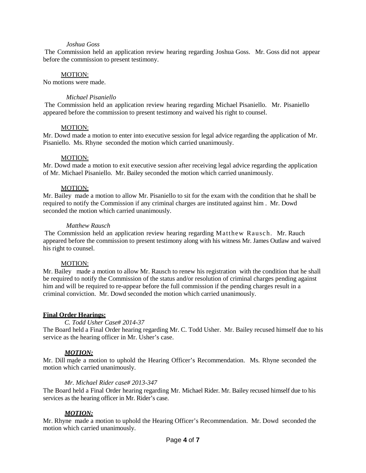### *Joshua Goss*

The Commission held an application review hearing regarding Joshua Goss. Mr. Goss did not appear before the commission to present testimony.

#### MOTION:

No motions were made.

## *Michael Pisaniello*

The Commission held an application review hearing regarding Michael Pisaniello. Mr. Pisaniello appeared before the commission to present testimony and waived his right to counsel.

## MOTION:

Mr. Dowd made a motion to enter into executive session for legal advice regarding the application of Mr. Pisaniello. Ms. Rhyne seconded the motion which carried unanimously.

## MOTION:

Mr. Dowd made a motion to exit executive session after receiving legal advice regarding the application of Mr. Michael Pisaniello. Mr. Bailey seconded the motion which carried unanimously.

## MOTION:

Mr. Bailey made a motion to allow Mr. Pisaniello to sit for the exam with the condition that he shall be required to notify the Commission if any criminal charges are instituted against him . Mr. Dowd seconded the motion which carried unanimously.

## *Matthew Rausch*

The Commission held an application review hearing regarding Matthew Rausch. Mr. Rauch appeared before the commission to present testimony along with his witness Mr. James Outlaw and waived his right to counsel.

#### MOTION:

Mr. Bailey made a motion to allow Mr. Rausch to renew his registration with the condition that he shall be required to notify the Commission of the status and/or resolution of criminal charges pending against him and will be required to re-appear before the full commission if the pending charges result in a criminal conviction. Mr. Dowd seconded the motion which carried unanimously.

## **Final Order Hearings:**

#### *C. Todd Usher Case# 2014-37*

The Board held a Final Order hearing regarding Mr. C. Todd Usher. Mr. Bailey recused himself due to his service as the hearing officer in Mr. Usher's case.

## *MOTION:*

Mr. Dill made a motion to uphold the Hearing Officer's Recommendation. Ms. Rhyne seconded the motion which carried unanimously.

## *Mr. Michael Rider case# 2013-347*

The Board held a Final Order hearing regarding Mr. Michael Rider. Mr. Bailey recused himself due to his services as the hearing officer in Mr. Rider's case.

## *MOTION:*

Mr. Rhyne made a motion to uphold the Hearing Officer's Recommendation. Mr. Dowd seconded the motion which carried unanimously.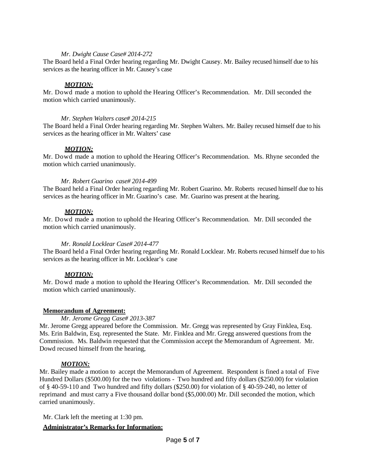## *Mr. Dwight Cause Case# 2014-272*

The Board held a Final Order hearing regarding Mr. Dwight Causey. Mr. Bailey recused himself due to his services as the hearing officer in Mr. Causey's case

## *MOTION:*

Mr. Dowd made a motion to uphold the Hearing Officer's Recommendation. Mr. Dill seconded the motion which carried unanimously.

## *Mr. Stephen Walters case# 2014-215*

The Board held a Final Order hearing regarding Mr. Stephen Walters. Mr. Bailey recused himself due to his services as the hearing officer in Mr. Walters' case

## *MOTION:*

Mr. Dowd made a motion to uphold the Hearing Officer's Recommendation. Ms. Rhyne seconded the motion which carried unanimously.

## *Mr. Robert Guarino case# 2014-499*

The Board held a Final Order hearing regarding Mr. Robert Guarino. Mr. Roberts recused himself due to his services as the hearing officer in Mr. Guarino's case. Mr. Guarino was present at the hearing.

## *MOTION:*

Mr. Dowd made a motion to uphold the Hearing Officer's Recommendation. Mr. Dill seconded the motion which carried unanimously.

## *Mr. Ronald Locklear Case# 2014-477*

The Board held a Final Order hearing regarding Mr. Ronald Locklear. Mr. Roberts recused himself due to his services as the hearing officer in Mr. Locklear's case

## *MOTION:*

Mr. Dowd made a motion to uphold the Hearing Officer's Recommendation. Mr. Dill seconded the motion which carried unanimously.

## **Memorandum of Agreement:**

#### *Mr. Jerome Gregg Case# 2013-387*

Mr. Jerome Gregg appeared before the Commission. Mr. Gregg was represented by Gray Finklea, Esq. Ms. Erin Baldwin, Esq. represented the State. Mr. Finklea and Mr. Gregg answered questions from the Commission. Ms. Baldwin requested that the Commission accept the Memorandum of Agreement. Mr. Dowd recused himself from the hearing,

## *MOTION:*

Mr. Bailey made a motion to accept the Memorandum of Agreement. Respondent is fined a total of Five Hundred Dollars (\$500.00) for the two violations - Two hundred and fifty dollars (\$250.00) for violation of § 40-59-110 and Two hundred and fifty dollars (\$250.00) for violation of § 40-59-240, no letter of reprimand and must carry a Five thousand dollar bond (\$5,000.00) Mr. Dill seconded the motion, which carried unanimously.

Mr. Clark left the meeting at 1:30 pm.

## **Administrator's Remarks for Information:**